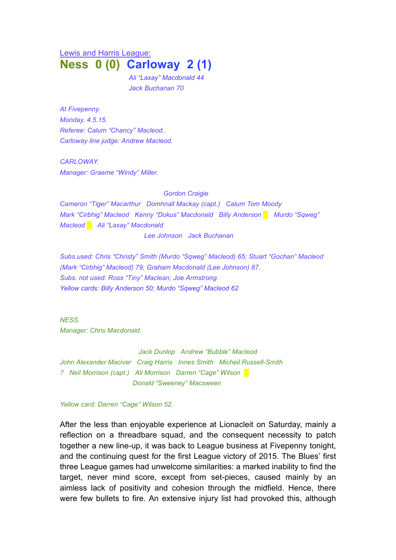## Lewis and Harris League: **Ness 0 (0) Carloway 2 (1)**

*Ali "Laxay" Macdonald 44 Jack Buchanan 70*

*At Fivepenny. Monday, 4.5.15. Referee: Calum "Chancy" Macleod.. Carloway line judge: Andrew Macleod.*

*CARLOWAY. Manager: Graeme "Windy" Miller.*

*Gordon Craigie Cameron "Tiger" Macarthur Domhnall Mackay (capt.) Calum Tom Moody Mark "Cirbhig" Macleod Kenny "Dokus" Macdonald Billy Anderson █ Murdo "Sqweg" Macleod* █ *Ali "Laxay" Macdonald Lee Johnson Jack Buchanan*

*Subs.used: Chris "Christy" Smith (Murdo "Sqweg" Macleod) 65; Stuart "Gochan" Macleod (Mark "Cirbhig" Macleod) 79; Graham Macdonald (Lee Johnson) 87. Subs. not used: Ross "Tiny" Maclean; Joe Armstrong. Yellow cards: Billy Anderson 50; Murdo "Sqweg" Macleod 62*

*NESS. Manager: Chris Macdonald.*

*Jack Dunlop Andrew "Bubble" Macleod John Alexander Maciver Craig Harris Innes Smith Micheil Russell-Smith ? Neil Morrison (capt.) Ali Morrison Darren "Cage" Wilson █ Donald "Sweeney" Macsween*

*Yellow card: Darren "Cage" Wilson 52.*

After the less than enjoyable experience at Lionacleit on Saturday, mainly a reflection on a threadbare squad, and the consequent necessity to patch together a new line-up, it was back to League business at Fivepenny tonight, and the continuing quest for the first League victory of 2015. The Blues' first three League games had unwelcome similarities: a marked inability to find the target, never mind score, except from set-pieces, caused mainly by an aimless lack of positivity and cohesion through the midfield. Hence, there were few bullets to fire. An extensive injury list had provoked this, although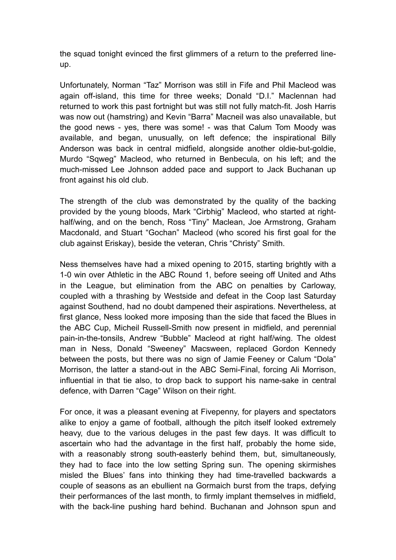the squad tonight evinced the first glimmers of a return to the preferred lineup.

Unfortunately, Norman "Taz" Morrison was still in Fife and Phil Macleod was again off-island, this time for three weeks; Donald "D.I." Maclennan had returned to work this past fortnight but was still not fully match-fit. Josh Harris was now out (hamstring) and Kevin "Barra" Macneil was also unavailable, but the good news - yes, there was some! - was that Calum Tom Moody was available, and began, unusually, on left defence; the inspirational Billy Anderson was back in central midfield, alongside another oldie-but-goldie, Murdo "Sqweg" Macleod, who returned in Benbecula, on his left; and the much-missed Lee Johnson added pace and support to Jack Buchanan up front against his old club.

The strength of the club was demonstrated by the quality of the backing provided by the young bloods, Mark "Cirbhig" Macleod, who started at righthalf/wing, and on the bench, Ross "Tiny" Maclean, Joe Armstrong, Graham Macdonald, and Stuart "Gochan" Macleod (who scored his first goal for the club against Eriskay), beside the veteran, Chris "Christy" Smith.

Ness themselves have had a mixed opening to 2015, starting brightly with a 1-0 win over Athletic in the ABC Round 1, before seeing off United and Aths in the League, but elimination from the ABC on penalties by Carloway, coupled with a thrashing by Westside and defeat in the Coop last Saturday against Southend, had no doubt dampened their aspirations. Nevertheless, at first glance, Ness looked more imposing than the side that faced the Blues in the ABC Cup, Micheil Russell-Smith now present in midfield, and perennial pain-in-the-tonsils, Andrew "Bubble" Macleod at right half/wing. The oldest man in Ness, Donald "Sweeney" Macsween, replaced Gordon Kennedy between the posts, but there was no sign of Jamie Feeney or Calum "Dola" Morrison, the latter a stand-out in the ABC Semi-Final, forcing Ali Morrison, influential in that tie also, to drop back to support his name-sake in central defence, with Darren "Cage" Wilson on their right.

For once, it was a pleasant evening at Fivepenny, for players and spectators alike to enjoy a game of football, although the pitch itself looked extremely heavy, due to the various deluges in the past few days. It was difficult to ascertain who had the advantage in the first half, probably the home side, with a reasonably strong south-easterly behind them, but, simultaneously, they had to face into the low setting Spring sun. The opening skirmishes misled the Blues' fans into thinking they had time-travelled backwards a couple of seasons as an ebullient na Gormaich burst from the traps, defying their performances of the last month, to firmly implant themselves in midfield, with the back-line pushing hard behind. Buchanan and Johnson spun and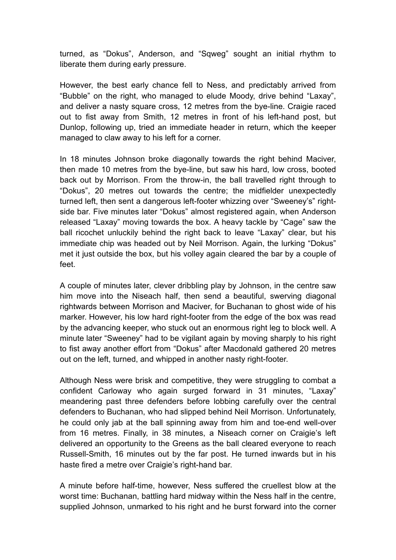turned, as "Dokus", Anderson, and "Sqweg" sought an initial rhythm to liberate them during early pressure.

However, the best early chance fell to Ness, and predictably arrived from "Bubble" on the right, who managed to elude Moody, drive behind "Laxay", and deliver a nasty square cross, 12 metres from the bye-line. Craigie raced out to fist away from Smith, 12 metres in front of his left-hand post, but Dunlop, following up, tried an immediate header in return, which the keeper managed to claw away to his left for a corner.

In 18 minutes Johnson broke diagonally towards the right behind Maciver, then made 10 metres from the bye-line, but saw his hard, low cross, booted back out by Morrison. From the throw-in, the ball travelled right through to "Dokus", 20 metres out towards the centre; the midfielder unexpectedly turned left, then sent a dangerous left-footer whizzing over "Sweeney's" rightside bar. Five minutes later "Dokus" almost registered again, when Anderson released "Laxay" moving towards the box. A heavy tackle by "Cage" saw the ball ricochet unluckily behind the right back to leave "Laxay" clear, but his immediate chip was headed out by Neil Morrison. Again, the lurking "Dokus" met it just outside the box, but his volley again cleared the bar by a couple of feet.

A couple of minutes later, clever dribbling play by Johnson, in the centre saw him move into the Niseach half, then send a beautiful, swerving diagonal rightwards between Morrison and Maciver, for Buchanan to ghost wide of his marker. However, his low hard right-footer from the edge of the box was read by the advancing keeper, who stuck out an enormous right leg to block well. A minute later "Sweeney" had to be vigilant again by moving sharply to his right to fist away another effort from "Dokus" after Macdonald gathered 20 metres out on the left, turned, and whipped in another nasty right-footer.

Although Ness were brisk and competitive, they were struggling to combat a confident Carloway who again surged forward in 31 minutes, "Laxay" meandering past three defenders before lobbing carefully over the central defenders to Buchanan, who had slipped behind Neil Morrison. Unfortunately, he could only jab at the ball spinning away from him and toe-end well-over from 16 metres. Finally, in 38 minutes, a Niseach corner on Craigie's left delivered an opportunity to the Greens as the ball cleared everyone to reach Russell-Smith, 16 minutes out by the far post. He turned inwards but in his haste fired a metre over Craigie's right-hand bar.

A minute before half-time, however, Ness suffered the cruellest blow at the worst time: Buchanan, battling hard midway within the Ness half in the centre, supplied Johnson, unmarked to his right and he burst forward into the corner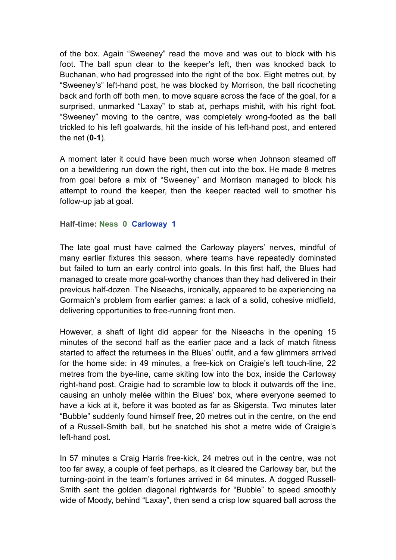of the box. Again "Sweeney" read the move and was out to block with his foot. The ball spun clear to the keeper's left, then was knocked back to Buchanan, who had progressed into the right of the box. Eight metres out, by "Sweeney's" left-hand post, he was blocked by Morrison, the ball ricocheting back and forth off both men, to move square across the face of the goal, for a surprised, unmarked "Laxay" to stab at, perhaps mishit, with his right foot. "Sweeney" moving to the centre, was completely wrong-footed as the ball trickled to his left goalwards, hit the inside of his left-hand post, and entered the net (**0-1**).

A moment later it could have been much worse when Johnson steamed off on a bewildering run down the right, then cut into the box. He made 8 metres from goal before a mix of "Sweeney" and Morrison managed to block his attempt to round the keeper, then the keeper reacted well to smother his follow-up jab at goal.

**Half-time: Ness 0 Carloway 1**

The late goal must have calmed the Carloway players' nerves, mindful of many earlier fixtures this season, where teams have repeatedly dominated but failed to turn an early control into goals. In this first half, the Blues had managed to create more goal-worthy chances than they had delivered in their previous half-dozen. The Niseachs, ironically, appeared to be experiencing na Gormaich's problem from earlier games: a lack of a solid, cohesive midfield, delivering opportunities to free-running front men.

However, a shaft of light did appear for the Niseachs in the opening 15 minutes of the second half as the earlier pace and a lack of match fitness started to affect the returnees in the Blues' outfit, and a few glimmers arrived for the home side: in 49 minutes, a free-kick on Craigie's left touch-line, 22 metres from the bye-line, came skiting low into the box, inside the Carloway right-hand post. Craigie had to scramble low to block it outwards off the line, causing an unholy melée within the Blues' box, where everyone seemed to have a kick at it, before it was booted as far as Skigersta. Two minutes later "Bubble" suddenly found himself free, 20 metres out in the centre, on the end of a Russell-Smith ball, but he snatched his shot a metre wide of Craigie's left-hand post.

In 57 minutes a Craig Harris free-kick, 24 metres out in the centre, was not too far away, a couple of feet perhaps, as it cleared the Carloway bar, but the turning-point in the team's fortunes arrived in 64 minutes. A dogged Russell-Smith sent the golden diagonal rightwards for "Bubble" to speed smoothly wide of Moody, behind "Laxay", then send a crisp low squared ball across the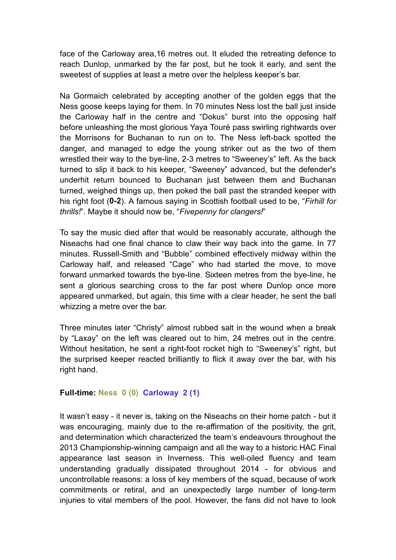face of the Carloway area,16 metres out. It eluded the retreating defence to reach Dunlop, unmarked by the far post, but he took it early, and sent the sweetest of supplies at least a metre over the helpless keeper's bar.

Na Gormaich celebrated by accepting another of the golden eggs that the Ness goose keeps laying for them. In 70 minutes Ness lost the ball just inside the Carloway half in the centre and "Dokus" burst into the opposing half before unleashing the most glorious Yaya Touré pass swirling rightwards over the Morrisons for Buchanan to run on to. The Ness left-back spotted the danger, and managed to edge the young striker out as the two of them wrestled their way to the bye-line, 2-3 metres to "Sweeney's" left. As the back turned to slip it back to his keeper, "Sweeney" advanced, but the defender's underhit return bounced to Buchanan just between them and Buchanan turned, weighed things up, then poked the ball past the stranded keeper with his right foot (**0-2**). A famous saying in Scottish football used to be, "*Firhill for thrills!*". Maybe it should now be, "*Fivepenny for clangers!*"

To say the music died after that would be reasonably accurate, although the Niseachs had one final chance to claw their way back into the game. In 77 minutes. Russell-Smith and "Bubble" combined effectively midway within the Carloway half, and released "Cage" who had started the move, to move forward unmarked towards the bye-line. Sixteen metres from the bye-line, he sent a glorious searching cross to the far post where Dunlop once more appeared unmarked, but again, this time with a clear header, he sent the ball whizzing a metre over the bar.

Three minutes later "Christy" almost rubbed salt in the wound when a break by "Laxay" on the left was cleared out to him, 24 metres out in the centre. Without hesitation, he sent a right-foot rocket high to "Sweeney's" right, but the surprised keeper reacted brilliantly to flick it away over the bar, with his right hand.

## **Full-time: Ness 0 (0) Carloway 2 (1)**

It wasn't easy - it never is, taking on the Niseachs on their home patch - but it was encouraging, mainly due to the re-affirmation of the positivity, the grit, and determination which characterized the team's endeavours throughout the 2013 Championship-winning campaign and all the way to a historic HAC Final appearance last season in Inverness. This well-oiled fluency and team understanding gradually dissipated throughout 2014 - for obvious and uncontrollable reasons: a loss of key members of the squad, because of work commitments or retiral, and an unexpectedly large number of long-term injuries to vital members of the pool. However, the fans did not have to look